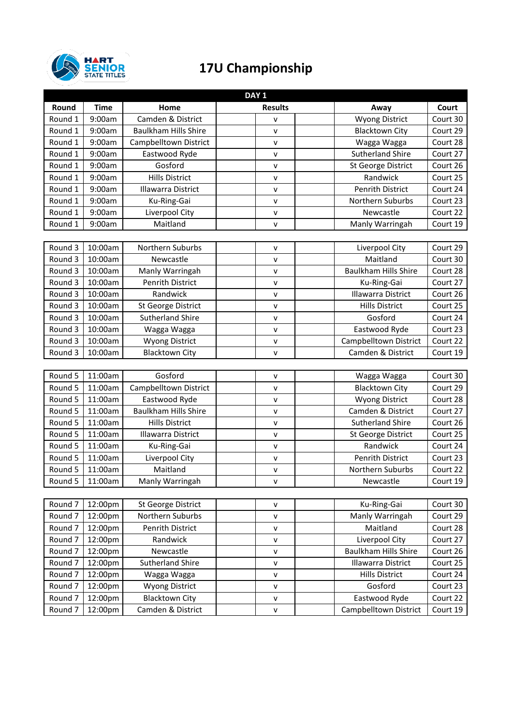

## **17U Championship**

| DAY <sub>1</sub>   |             |                             |                |                             |          |  |
|--------------------|-------------|-----------------------------|----------------|-----------------------------|----------|--|
| Round              | <b>Time</b> | Home                        | <b>Results</b> | Away                        | Court    |  |
| Round 1            | 9:00am      | Camden & District           | v              | <b>Wyong District</b>       | Court 30 |  |
| Round 1            | 9:00am      | <b>Baulkham Hills Shire</b> | $\mathsf{v}$   | <b>Blacktown City</b>       | Court 29 |  |
| Round 1            | 9:00am      | Campbelltown District       | $\mathsf{v}$   | Wagga Wagga                 | Court 28 |  |
| Round 1            | 9:00am      | Eastwood Ryde               | v              | <b>Sutherland Shire</b>     | Court 27 |  |
| Round 1            | 9:00am      | Gosford                     | v              | St George District          | Court 26 |  |
| Round 1            | 9:00am      | <b>Hills District</b>       | v              | Randwick                    | Court 25 |  |
| Round 1            | 9:00am      | Illawarra District          | $\mathsf{v}$   | Penrith District            | Court 24 |  |
| Round 1            | 9:00am      | Ku-Ring-Gai                 | $\mathsf{v}$   | Northern Suburbs            | Court 23 |  |
| Round 1            | 9:00am      | Liverpool City              | v              | Newcastle                   | Court 22 |  |
| Round 1            | 9:00am      | Maitland                    | v              | Manly Warringah             | Court 19 |  |
|                    |             |                             |                |                             |          |  |
| Round 3            | 10:00am     | Northern Suburbs            | ${\sf v}$      | Liverpool City              | Court 29 |  |
| Round 3            | 10:00am     | Newcastle                   | $\mathsf{v}$   | Maitland                    | Court 30 |  |
| Round 3            | 10:00am     | Manly Warringah             | v              | <b>Baulkham Hills Shire</b> | Court 28 |  |
| Round 3            | 10:00am     | <b>Penrith District</b>     | $\mathsf{v}$   | Ku-Ring-Gai                 | Court 27 |  |
| Round 3            | 10:00am     | Randwick                    | $\mathsf{v}$   | <b>Illawarra District</b>   | Court 26 |  |
| Round 3            | 10:00am     | St George District          | $\mathsf{v}$   | <b>Hills District</b>       | Court 25 |  |
| Round 3            | 10:00am     | <b>Sutherland Shire</b>     | $\mathsf{v}$   | Gosford                     | Court 24 |  |
| Round 3            | 10:00am     | Wagga Wagga                 | $\mathsf{V}$   | Eastwood Ryde               | Court 23 |  |
| Round 3            | 10:00am     | <b>Wyong District</b>       | v              | Campbelltown District       | Court 22 |  |
| Round 3            | 10:00am     | <b>Blacktown City</b>       | v              | Camden & District           | Court 19 |  |
|                    |             |                             |                |                             |          |  |
| Round 5            | 11:00am     | Gosford                     | v              | Wagga Wagga                 | Court 30 |  |
| Round 5            | 11:00am     | Campbelltown District       | $\mathsf{v}$   | <b>Blacktown City</b>       | Court 29 |  |
| Round 5            | 11:00am     | Eastwood Ryde               | $\mathsf{v}$   | <b>Wyong District</b>       | Court 28 |  |
| Round 5            | 11:00am     | <b>Baulkham Hills Shire</b> | $\mathsf{v}$   | Camden & District           | Court 27 |  |
| Round 5            | 11:00am     | <b>Hills District</b>       | $\mathsf{v}$   | <b>Sutherland Shire</b>     | Court 26 |  |
| Round 5            | 11:00am     | <b>Illawarra District</b>   | v              | <b>St George District</b>   | Court 25 |  |
| Round 5            | 11:00am     | Ku-Ring-Gai                 | v              | Randwick                    | Court 24 |  |
| Round 5            | 11:00am     | Liverpool City              | $\mathsf{v}$   | Penrith District            | Court 23 |  |
| Round 5            | 11:00am     | Maitland                    | $\mathsf{v}$   | Northern Suburbs            | Court 22 |  |
| Round 5            | 11:00am     | Manly Warringah             | v              | Newcastle                   | Court 19 |  |
|                    |             |                             |                |                             |          |  |
| Round 7            | 12:00pm     | St George District          | v              | Ku-Ring-Gai                 | Court 30 |  |
| Round <sub>7</sub> | 12:00pm     | Northern Suburbs            | v              | Manly Warringah             | Court 29 |  |
| Round 7            | 12:00pm     | Penrith District            | v              | Maitland                    | Court 28 |  |
| Round 7            | 12:00pm     | Randwick                    | v              | Liverpool City              | Court 27 |  |
| Round 7            | 12:00pm     | Newcastle                   | v              | <b>Baulkham Hills Shire</b> | Court 26 |  |
| Round <sub>7</sub> | 12:00pm     | <b>Sutherland Shire</b>     | $\mathsf{v}$   | Illawarra District          | Court 25 |  |
| Round <sub>7</sub> | 12:00pm     | Wagga Wagga                 | v              | <b>Hills District</b>       | Court 24 |  |
| Round <sub>7</sub> | 12:00pm     | <b>Wyong District</b>       | v              | Gosford                     | Court 23 |  |
| Round <sub>7</sub> | 12:00pm     | <b>Blacktown City</b>       | $\mathsf{v}$   | Eastwood Ryde               | Court 22 |  |
| Round <sub>7</sub> | 12:00pm     | Camden & District           | v              | Campbelltown District       | Court 19 |  |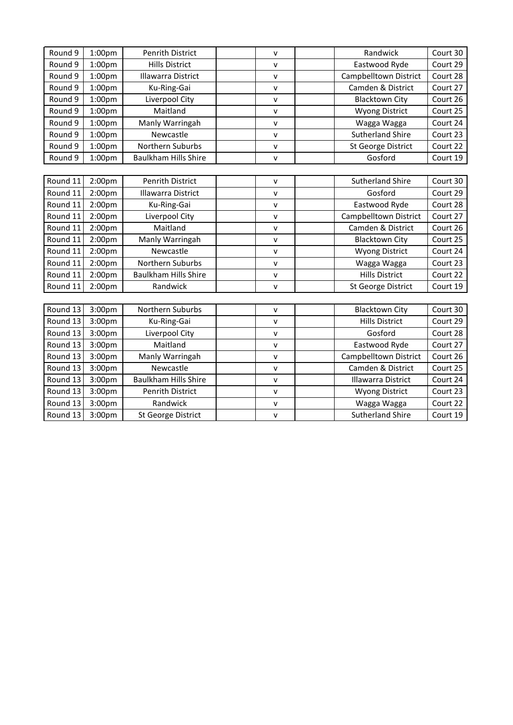| Round 9  | 1:00 <sub>pm</sub>  | <b>Penrith District</b>     | v            | Randwick                  | Court 30 |
|----------|---------------------|-----------------------------|--------------|---------------------------|----------|
| Round 9  | 1:00 <sub>pm</sub>  | <b>Hills District</b>       | v            | Eastwood Ryde             | Court 29 |
| Round 9  | 1:00 <sub>pm</sub>  | <b>Illawarra District</b>   | v            | Campbelltown District     | Court 28 |
| Round 9  | 1:00 <sub>pm</sub>  | Ku-Ring-Gai                 | $\mathsf{V}$ | Camden & District         | Court 27 |
| Round 9  | 1:00 <sub>pm</sub>  | Liverpool City              | V            | <b>Blacktown City</b>     | Court 26 |
| Round 9  | 1:00 <sub>pm</sub>  | Maitland                    | v            | <b>Wyong District</b>     | Court 25 |
| Round 9  | 1:00 <sub>pm</sub>  | Manly Warringah             | v            | Wagga Wagga               | Court 24 |
| Round 9  | 1:00 <sub>pm</sub>  | Newcastle                   | v            | <b>Sutherland Shire</b>   | Court 23 |
| Round 9  | 1:00 <sub>pm</sub>  | Northern Suburbs            | V            | <b>St George District</b> | Court 22 |
| Round 9  | 1:00 <sub>pm</sub>  | <b>Baulkham Hills Shire</b> | v            | Gosford                   | Court 19 |
|          |                     |                             |              |                           |          |
| Round 11 | 2:00 <sub>pm</sub>  | <b>Penrith District</b>     | v            | <b>Sutherland Shire</b>   | Court 30 |
| Round 11 | 2:00 <sub>pm</sub>  | <b>Illawarra District</b>   | v            | Gosford                   | Court 29 |
| Round 11 | 2:00 <sub>pm</sub>  | Ku-Ring-Gai                 | ٧            | Eastwood Ryde             | Court 28 |
| Round 11 | 2:00 <sub>p</sub> m | Liverpool City              | V            | Campbelltown District     | Court 27 |
| Round 11 | 2:00pm              | Maitland                    | $\mathsf{v}$ | Camden & District         | Court 26 |
| Round 11 | 2:00 <sub>p</sub> m | Manly Warringah             | V            | <b>Blacktown City</b>     | Court 25 |
| Round 11 | 2:00 <sub>p</sub> m | Newcastle                   | v            | <b>Wyong District</b>     | Court 24 |
| Round 11 | 2:00 <sub>p</sub> m | Northern Suburbs            | v            | Wagga Wagga               | Court 23 |
| Round 11 | 2:00 <sub>p</sub> m | <b>Baulkham Hills Shire</b> | V            | <b>Hills District</b>     | Court 22 |
| Round 11 | $2:00p$ m           | Randwick                    | v            | St George District        | Court 19 |
|          |                     |                             |              |                           |          |
| Round 13 | 3:00pm              | Northern Suburbs            | v            | <b>Blacktown City</b>     | Court 30 |
| Round 13 | 3:00pm              | Ku-Ring-Gai                 | v            | <b>Hills District</b>     | Court 29 |
| Round 13 | 3:00pm              | Liverpool City              | v            | Gosford                   | Court 28 |
| Round 13 | $3:00p$ m           | Maitland                    | V            | Eastwood Ryde             | Court 27 |
| Round 13 | 3:00pm              | Manly Warringah             | ٧            | Campbelltown District     | Court 26 |
| Round 13 | 3:00pm              | Newcastle                   | $\mathsf{v}$ | Camden & District         | Court 25 |
| Round 13 | 3:00pm              | <b>Baulkham Hills Shire</b> | V            | <b>Illawarra District</b> | Court 24 |
| Round 13 | 3:00pm              | <b>Penrith District</b>     | v            | <b>Wyong District</b>     | Court 23 |
| Round 13 | 3:00pm              | Randwick                    | V            | Wagga Wagga               | Court 22 |
| Round 13 | 3:00pm              | St George District          | V            | <b>Sutherland Shire</b>   | Court 19 |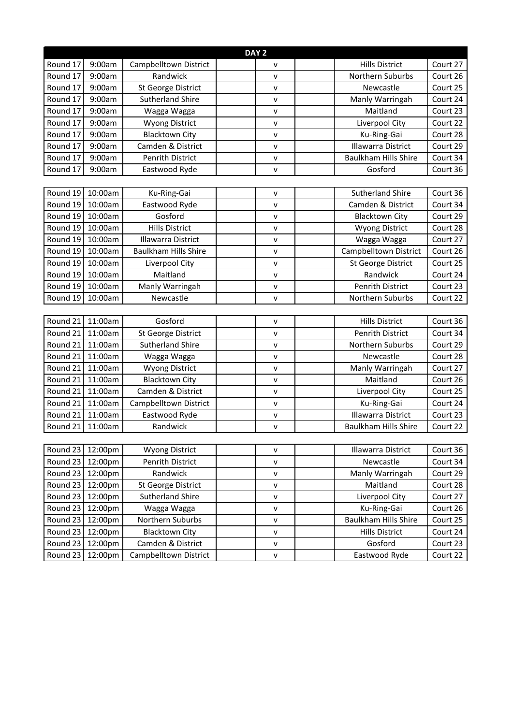| DAY <sub>2</sub> |         |                             |  |              |  |                             |          |
|------------------|---------|-----------------------------|--|--------------|--|-----------------------------|----------|
| Round 17         | 9:00am  | Campbelltown District       |  | V            |  | <b>Hills District</b>       | Court 27 |
| Round 17         | 9:00am  | Randwick                    |  | v            |  | Northern Suburbs            | Court 26 |
| Round 17         | 9:00am  | <b>St George District</b>   |  | $\mathsf{v}$ |  | Newcastle                   | Court 25 |
| Round 17         | 9:00am  | <b>Sutherland Shire</b>     |  | v            |  | Manly Warringah             | Court 24 |
| Round 17         | 9:00am  | Wagga Wagga                 |  | v            |  | Maitland                    | Court 23 |
| Round 17         | 9:00am  | <b>Wyong District</b>       |  | v            |  | Liverpool City              | Court 22 |
| Round 17         | 9:00am  | <b>Blacktown City</b>       |  | $\mathsf{v}$ |  | Ku-Ring-Gai                 | Court 28 |
| Round 17         | 9:00am  | Camden & District           |  | v            |  | <b>Illawarra District</b>   | Court 29 |
| Round 17         | 9:00am  | <b>Penrith District</b>     |  | v            |  | <b>Baulkham Hills Shire</b> | Court 34 |
| Round 17         | 9:00am  | Eastwood Ryde               |  | v            |  | Gosford                     | Court 36 |
|                  |         |                             |  |              |  |                             |          |
| Round 19         | 10:00am | Ku-Ring-Gai                 |  | v            |  | <b>Sutherland Shire</b>     | Court 36 |
| Round 19         | 10:00am | Eastwood Ryde               |  | V            |  | Camden & District           | Court 34 |
| Round 19         | 10:00am | Gosford                     |  | v            |  | <b>Blacktown City</b>       | Court 29 |
| Round 19         | 10:00am | <b>Hills District</b>       |  | v            |  | <b>Wyong District</b>       | Court 28 |
| Round 19         | 10:00am | <b>Illawarra District</b>   |  | v            |  | Wagga Wagga                 | Court 27 |
| Round 19         | 10:00am | <b>Baulkham Hills Shire</b> |  | v            |  | Campbelltown District       | Court 26 |
| Round 19         | 10:00am | Liverpool City              |  | v            |  | <b>St George District</b>   | Court 25 |
| Round 19         | 10:00am | Maitland                    |  | V            |  | Randwick                    | Court 24 |
| Round 19         | 10:00am | Manly Warringah             |  | v            |  | <b>Penrith District</b>     | Court 23 |
| Round 19         | 10:00am | Newcastle                   |  | v            |  | Northern Suburbs            | Court 22 |
|                  |         |                             |  |              |  |                             |          |
| Round 21         | 11:00am | Gosford                     |  | v            |  | <b>Hills District</b>       | Court 36 |
| Round 21         | 11:00am | <b>St George District</b>   |  | v            |  | Penrith District            | Court 34 |
| Round 21         | 11:00am | <b>Sutherland Shire</b>     |  | v            |  | Northern Suburbs            | Court 29 |
| Round 21         | 11:00am | Wagga Wagga                 |  | $\mathsf{v}$ |  | Newcastle                   | Court 28 |
| Round 21         | 11:00am | Wyong District              |  | v            |  | Manly Warringah             | Court 27 |
| Round 21         | 11:00am | <b>Blacktown City</b>       |  | v            |  | Maitland                    | Court 26 |
| Round 21         | 11:00am | Camden & District           |  | v            |  | Liverpool City              | Court 25 |
| Round 21         | 11:00am | Campbelltown District       |  | $\mathsf{v}$ |  | Ku-Ring-Gai                 | Court 24 |
| Round 21         | 11:00am | Eastwood Ryde               |  | v            |  | <b>Illawarra District</b>   | Court 23 |
| Round 21         | 11:00am | Randwick                    |  | v            |  | <b>Baulkham Hills Shire</b> | Court 22 |
|                  |         |                             |  |              |  |                             |          |
| Round 23         | 12:00pm | <b>Wyong District</b>       |  | v            |  | Illawarra District          | Court 36 |
| Round 23         | 12:00pm | Penrith District            |  | $\mathsf{v}$ |  | Newcastle                   | Court 34 |
| Round 23         | 12:00pm | Randwick                    |  | v            |  | Manly Warringah             | Court 29 |
| Round 23         | 12:00pm | St George District          |  | $\mathsf{V}$ |  | Maitland                    | Court 28 |
| Round 23         | 12:00pm | <b>Sutherland Shire</b>     |  | $\mathsf{v}$ |  | Liverpool City              | Court 27 |
| Round 23         | 12:00pm | Wagga Wagga                 |  | $\mathsf{v}$ |  | Ku-Ring-Gai                 | Court 26 |
| Round 23         | 12:00pm | Northern Suburbs            |  | v            |  | <b>Baulkham Hills Shire</b> | Court 25 |
| Round 23         | 12:00pm | <b>Blacktown City</b>       |  | $\mathsf{v}$ |  | <b>Hills District</b>       | Court 24 |
| Round 23         | 12:00pm | Camden & District           |  | V            |  | Gosford                     | Court 23 |
| Round 23         | 12:00pm | Campbelltown District       |  | $\mathsf{V}$ |  | Eastwood Ryde               | Court 22 |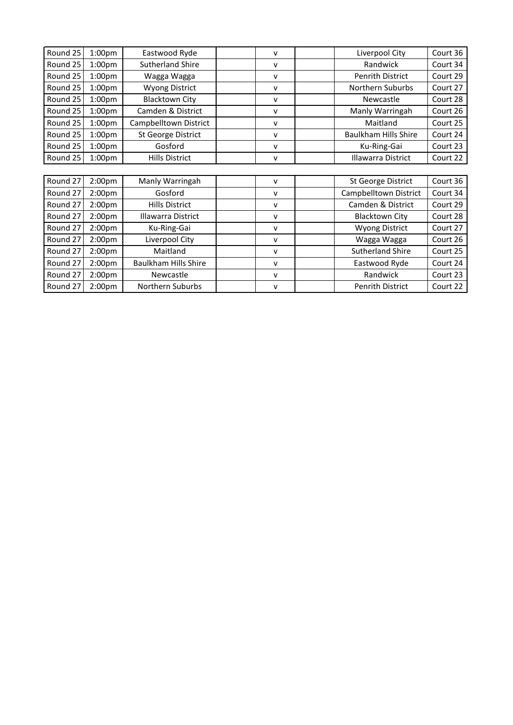| Round 25 | 1:00 <sub>pm</sub> | Eastwood Ryde               | v            | Liverpool City              | Court 36 |
|----------|--------------------|-----------------------------|--------------|-----------------------------|----------|
| Round 25 | 1:00 <sub>pm</sub> | <b>Sutherland Shire</b>     | v            | Randwick                    | Court 34 |
| Round 25 | 1:00 <sub>pm</sub> | Wagga Wagga                 | v            | <b>Penrith District</b>     | Court 29 |
| Round 25 | 1:00 <sub>pm</sub> | <b>Wyong District</b>       | v            | Northern Suburbs            | Court 27 |
| Round 25 | 1:00 <sub>pm</sub> | <b>Blacktown City</b>       | v            | Newcastle                   | Court 28 |
| Round 25 | 1:00 <sub>pm</sub> | Camden & District           | v            | Manly Warringah             | Court 26 |
| Round 25 | 1:00 <sub>pm</sub> | Campbelltown District       | v            | Maitland                    | Court 25 |
| Round 25 | 1:00 <sub>pm</sub> | St George District          | v            | <b>Baulkham Hills Shire</b> | Court 24 |
| Round 25 | 1:00 <sub>pm</sub> | Gosford                     | v            | Ku-Ring-Gai                 | Court 23 |
| Round 25 | 1:00 <sub>pm</sub> | <b>Hills District</b>       | v            | <b>Illawarra District</b>   | Court 22 |
|          |                    |                             |              |                             |          |
| Round 27 | 2:00 <sub>pm</sub> | Manly Warringah             | v            | St George District          | Court 36 |
| Round 27 | 2:00 <sub>pm</sub> | Gosford                     | v            | Campbelltown District       | Court 34 |
| Round 27 | 2:00 <sub>pm</sub> | <b>Hills District</b>       | v            | Camden & District           | Court 29 |
| Round 27 | 2:00 <sub>pm</sub> | Illawarra District          | v            | <b>Blacktown City</b>       | Court 28 |
| Round 27 | 2:00 <sub>pm</sub> | Ku-Ring-Gai                 | v            | <b>Wyong District</b>       | Court 27 |
| Round 27 | 2:00 <sub>pm</sub> | Liverpool City              | v            | Wagga Wagga                 | Court 26 |
| Round 27 | 2:00 <sub>pm</sub> | Maitland                    | v            | <b>Sutherland Shire</b>     | Court 25 |
| Round 27 | 2:00 <sub>pm</sub> | <b>Baulkham Hills Shire</b> | v            | Eastwood Ryde               | Court 24 |
| Round 27 | 2:00 <sub>pm</sub> | Newcastle                   | $\mathsf{V}$ | Randwick                    | Court 23 |
| Round 27 | 2:00 <sub>pm</sub> | <b>Northern Suburbs</b>     | v            | Penrith District            | Court 22 |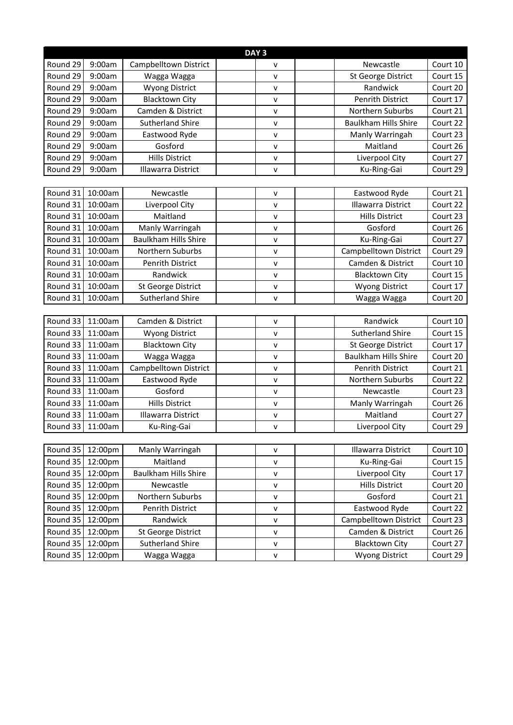| DAY <sub>3</sub> |         |                             |  |              |  |                             |          |
|------------------|---------|-----------------------------|--|--------------|--|-----------------------------|----------|
| Round 29         | 9:00am  | Campbelltown District       |  | $\mathsf{v}$ |  | Newcastle                   | Court 10 |
| Round 29         | 9:00am  | Wagga Wagga                 |  | v            |  | <b>St George District</b>   | Court 15 |
| Round 29         | 9:00am  | <b>Wyong District</b>       |  | v            |  | Randwick                    | Court 20 |
| Round 29         | 9:00am  | <b>Blacktown City</b>       |  | v            |  | Penrith District            | Court 17 |
| Round 29         | 9:00am  | Camden & District           |  | v            |  | Northern Suburbs            | Court 21 |
| Round 29         | 9:00am  | <b>Sutherland Shire</b>     |  | v            |  | <b>Baulkham Hills Shire</b> | Court 22 |
| Round 29         | 9:00am  | Eastwood Ryde               |  | $\mathsf{v}$ |  | Manly Warringah             | Court 23 |
| Round 29         | 9:00am  | Gosford                     |  | v            |  | Maitland                    | Court 26 |
| Round 29         | 9:00am  | <b>Hills District</b>       |  | v            |  | Liverpool City              | Court 27 |
| Round 29         | 9:00am  | Illawarra District          |  | $\mathsf{v}$ |  | Ku-Ring-Gai                 | Court 29 |
|                  |         |                             |  |              |  |                             |          |
| Round 31         | 10:00am | Newcastle                   |  | $\mathsf{v}$ |  | Eastwood Ryde               | Court 21 |
| Round 31         | 10:00am | Liverpool City              |  | v            |  | Illawarra District          | Court 22 |
| Round 31         | 10:00am | Maitland                    |  | $\mathsf{v}$ |  | <b>Hills District</b>       | Court 23 |
| Round 31         | 10:00am | Manly Warringah             |  | $\mathsf{v}$ |  | Gosford                     | Court 26 |
| Round 31         | 10:00am | <b>Baulkham Hills Shire</b> |  | $\mathsf{v}$ |  | Ku-Ring-Gai                 | Court 27 |
| Round 31         | 10:00am | Northern Suburbs            |  | $\mathsf{v}$ |  | Campbelltown District       | Court 29 |
| Round 31         | 10:00am | <b>Penrith District</b>     |  | $\mathsf{v}$ |  | Camden & District           | Court 10 |
| Round 31         | 10:00am | Randwick                    |  | $\mathsf{V}$ |  | <b>Blacktown City</b>       | Court 15 |
| Round 31         | 10:00am | St George District          |  | $\mathsf{v}$ |  | <b>Wyong District</b>       | Court 17 |
| Round 31         | 10:00am | <b>Sutherland Shire</b>     |  | $\mathsf{v}$ |  | Wagga Wagga                 | Court 20 |
|                  |         |                             |  |              |  |                             |          |
| Round 33         | 11:00am | Camden & District           |  | $\mathsf{v}$ |  | Randwick                    | Court 10 |
| Round 33         | 11:00am | <b>Wyong District</b>       |  | $\mathsf{v}$ |  | <b>Sutherland Shire</b>     | Court 15 |
| Round 33         | 11:00am | <b>Blacktown City</b>       |  | $\mathsf{v}$ |  | <b>St George District</b>   | Court 17 |
| Round 33         | 11:00am | Wagga Wagga                 |  | $\mathsf{v}$ |  | <b>Baulkham Hills Shire</b> | Court 20 |
| Round 33         | 11:00am | Campbelltown District       |  | V            |  | Penrith District            | Court 21 |
| Round 33         | 11:00am | Eastwood Ryde               |  | v            |  | Northern Suburbs            | Court 22 |
| Round 33         | 11:00am | Gosford                     |  | v            |  | Newcastle                   | Court 23 |
| Round 33         | 11:00am | <b>Hills District</b>       |  | v            |  | Manly Warringah             | Court 26 |
| Round 33         | 11:00am | <b>Illawarra District</b>   |  | v            |  | Maitland                    | Court 27 |
| Round 33         | 11:00am | Ku-Ring-Gai                 |  | $\mathsf{V}$ |  | Liverpool City              | Court 29 |
|                  |         |                             |  |              |  |                             |          |
| Round 35 12:00pm |         | Manly Warringah             |  | $\mathsf{V}$ |  | Illawarra District          | Court 10 |
| Round 35         | 12:00pm | Maitland                    |  | $\mathsf{v}$ |  | Ku-Ring-Gai                 | Court 15 |
| Round 35         | 12:00pm | Baulkham Hills Shire        |  | v            |  | Liverpool City              | Court 17 |
| Round 35         | 12:00pm | Newcastle                   |  | v            |  | <b>Hills District</b>       | Court 20 |
| Round 35         | 12:00pm | Northern Suburbs            |  | v            |  | Gosford                     | Court 21 |
| Round 35         | 12:00pm | Penrith District            |  | $\mathsf{v}$ |  | Eastwood Ryde               | Court 22 |
| Round 35         | 12:00pm | Randwick                    |  | $\mathsf{V}$ |  | Campbelltown District       | Court 23 |
| Round 35         | 12:00pm | <b>St George District</b>   |  | v            |  | Camden & District           | Court 26 |
| Round 35         | 12:00pm | <b>Sutherland Shire</b>     |  | v            |  | <b>Blacktown City</b>       | Court 27 |
| Round 35         | 12:00pm | Wagga Wagga                 |  | $\mathsf{v}$ |  | <b>Wyong District</b>       | Court 29 |